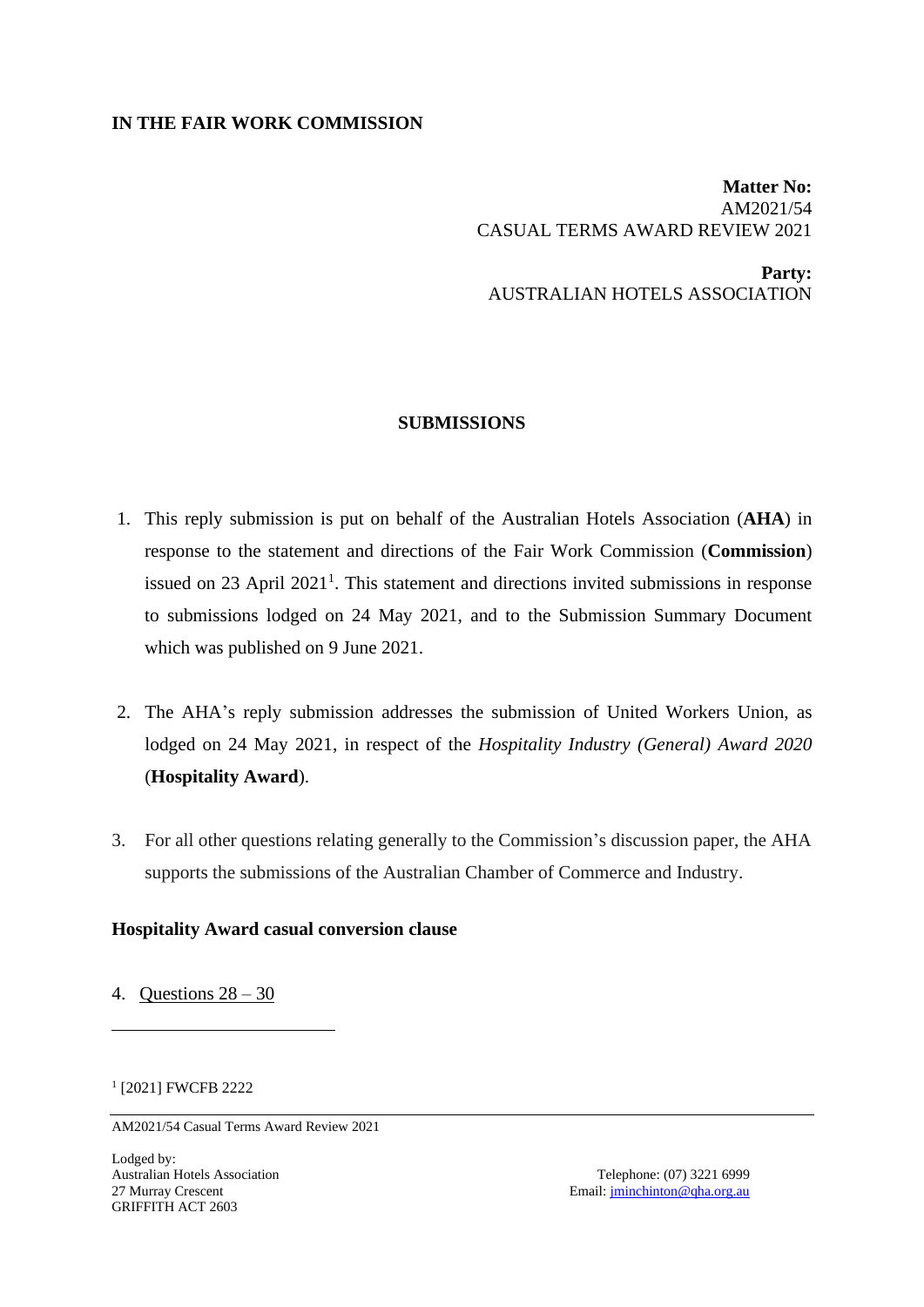## **IN THE FAIR WORK COMMISSION**

## **Matter No:**  AM2021/54 CASUAL TERMS AWARD REVIEW 2021

**Party:** AUSTRALIAN HOTELS ASSOCIATION

## **SUBMISSIONS**

- 1. This reply submission is put on behalf of the Australian Hotels Association (**AHA**) in response to the statement and directions of the Fair Work Commission (**Commission**) issued on  $23$  April  $2021<sup>1</sup>$ . This statement and directions invited submissions in response to submissions lodged on 24 May 2021, and to the Submission Summary Document which was published on 9 June 2021.
- 2. The AHA's reply submission addresses the submission of United Workers Union, as lodged on 24 May 2021, in respect of the *Hospitality Industry (General) Award 2020* (**Hospitality Award**).
- 3. For all other questions relating generally to the Commission's discussion paper, the AHA supports the submissions of the Australian Chamber of Commerce and Industry.

## **Hospitality Award casual conversion clause**

4. Ouestions  $28 - 30$ 

1 [2021] FWCFB 2222

AM2021/54 Casual Terms Award Review 2021